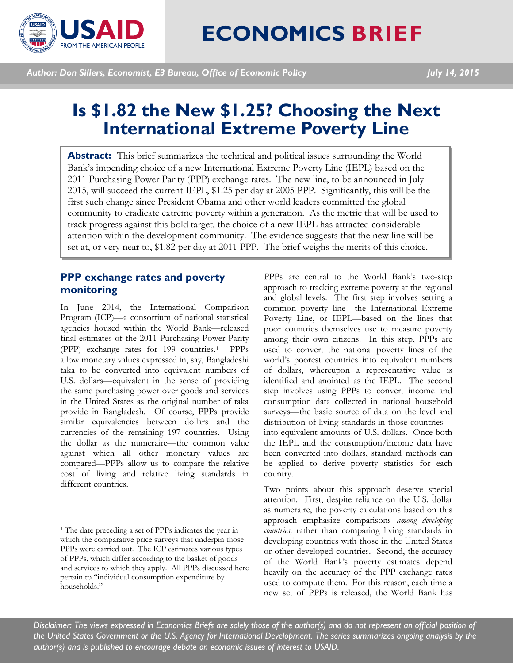

# **ECONOMICS BRIEF**

*Author: Don Sillers, Economist, E3 Bureau, Office of Economic Policy July 14, 2015*

# **Is \$1.82 the New \$1.25? Choosing the Next International Extreme Poverty Line**

Abstract: This brief summarizes the technical and political issues surrounding the World Bank's impending choice of a new International Extreme Poverty Line (IEPL) based on the 2011 Purchasing Power Parity (PPP) exchange rates. The new line, to be announced in July 2015, will succeed the current IEPL, \$1.25 per day at 2005 PPP. Significantly, this will be the first such change since President Obama and other world leaders committed the global community to eradicate extreme poverty within a generation. As the metric that will be used to track progress against this bold target, the choice of a new IEPL has attracted considerable attention within the development community. The evidence suggests that the new line will be set at, or very near to, \$1.82 per day at 2011 PPP. The brief weighs the merits of this choice.

## **PPP exchange rates and poverty monitoring**

In June 2014, the International Comparison Program (ICP)—a consortium of national statistical agencies housed within the World Bank—released final estimates of the 2011 Purchasing Po[we](#page-0-0)r Parity (PPP) exchange rates for 199 countries.1 PPPs allow monetary values expressed in, say, Bangladeshi taka to be converted into equivalent numbers of U.S. dollars—equivalent in the sense of providing the same purchasing power over goods and services in the United States as the original number of taka provide in Bangladesh. Of course, PPPs provide similar equivalencies between dollars and the currencies of the remaining 197 countries. Using the dollar as the numeraire—the common value against which all other monetary values are compared—PPPs allow us to compare the relative cost of living and relative living standards in different countries.

l

PPPs are central to the World Bank's two-step approach to tracking extreme poverty at the regional and global levels. The first step involves setting a common poverty line—the International Extreme Poverty Line, or IEPL—based on the lines that poor countries themselves use to measure poverty among their own citizens. In this step, PPPs are used to convert the national poverty lines of the world's poorest countries into equivalent numbers of dollars, whereupon a representative value is identified and anointed as the IEPL. The second step involves using PPPs to convert income and consumption data collected in national household surveys—the basic source of data on the level and distribution of living standards in those countries into equivalent amounts of U.S. dollars. Once both the IEPL and the consumption/income data have been converted into dollars, standard methods can be applied to derive poverty statistics for each country.

Two points about this approach deserve special attention. First, despite reliance on the U.S. dollar as numeraire, the poverty calculations based on this approach emphasize comparisons *among developing countries,* rather than comparing living standards in developing countries with those in the United States or other developed countries. Second, the accuracy of the World Bank's poverty estimates depend heavily on the accuracy of the PPP exchange rates used to compute them. For this reason, each time a new set of PPPs is released, the World Bank has

*Disclaimer: The views expressed in Economics Briefs are solely those of the author(s) and do not represent an official position of the United States Government or the U.S. Agency for International Development. The series summarizes ongoing analysis by the author(s) and is published to encourage debate on economic issues of interest to USAID.*

<span id="page-0-0"></span><sup>1</sup> The date preceding a set of PPPs indicates the year in which the comparative price surveys that underpin those PPPs were carried out. The ICP estimates various types of PPPs, which differ according to the basket of goods and services to which they apply. All PPPs discussed here pertain to "individual consumption expenditure by households."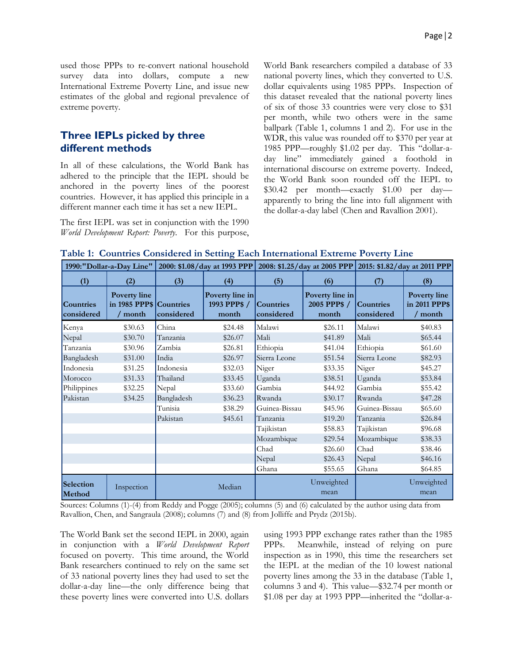used those PPPs to re-convert national household survey data into dollars, compute a new International Extreme Poverty Line, and issue new estimates of the global and regional prevalence of extreme poverty.

#### **Three IEPLs picked by three different methods**

In all of these calculations, the World Bank has adhered to the principle that the IEPL should be anchored in the poverty lines of the poorest countries. However, it has applied this principle in a different manner each time it has set a new IEPL.

The first IEPL was set in conjunction with the 1990 *World Development Report: Poverty*. For this purpose, World Bank researchers compiled a database of 33 national poverty lines, which they converted to U.S. dollar equivalents using 1985 PPPs. Inspection of this dataset revealed that the national poverty lines of six of those 33 countries were very close to \$31 per month, while two others were in the same ballpark (Table 1, columns 1 and 2). For use in the WDR, this value was rounded off to \$370 per year at 1985 PPP—roughly \$1.02 per day. This "dollar-aday line" immediately gained a foothold in international discourse on extreme poverty. Indeed, the World Bank soon rounded off the IEPL to \$30.42 per month—exactly \$1.00 per day apparently to bring the line into full alignment with the dollar-a-day label (Chen and Ravallion 2001).

|  |  |  | Table 1: Countries Considered in Setting Each International Extreme Poverty Line |  |
|--|--|--|----------------------------------------------------------------------------------|--|
|  |  |  |                                                                                  |  |

|                                | 1990:"Dollar-a-Day Line"                           |            |                                          |                         | 2000: \$1.08/day at 1993 PPP 2008: \$1.25/day at 2005 PPP 2015: \$1.82/day at 2011 PPP |                                |                                                 |
|--------------------------------|----------------------------------------------------|------------|------------------------------------------|-------------------------|----------------------------------------------------------------------------------------|--------------------------------|-------------------------------------------------|
| (1)                            | (2)                                                | (3)        | (4)                                      | (5)                     | (6)                                                                                    | (7)                            | (8)                                             |
| <b>Countries</b><br>considered | Poverty line<br>in 1985 PPP\$ Countries<br>/ month | considered | Poverty line in<br>1993 PPP\$ /<br>month | Countries<br>considered | Poverty line in<br>2005 PPP\$ /<br>month                                               | <b>Countries</b><br>considered | <b>Poverty line</b><br>in 2011 PPP\$<br>/ month |
| Kenya                          | \$30.63                                            | China      | \$24.48                                  | Malawi                  | \$26.11                                                                                | Malawi                         | \$40.83                                         |
| Nepal                          | \$30.70                                            | Tanzania   | \$26.07                                  | Mali                    | \$41.89                                                                                | Mali                           | \$65.44                                         |
| Tanzania                       | \$30.96                                            | Zambia     | \$26.81                                  | Ethiopia                | \$41.04                                                                                | Ethiopia                       | \$61.60                                         |
| Bangladesh                     | \$31.00                                            | India      | \$26.97                                  | Sierra Leone            | \$51.54                                                                                | Sierra Leone                   | \$82.93                                         |
| Indonesia                      | \$31.25                                            | Indonesia  | \$32.03                                  | Niger                   | \$33.35                                                                                | Niger                          | \$45.27                                         |
| Morocco                        | \$31.33                                            | Thailand   | \$33.45                                  | Uganda                  | \$38.51                                                                                | Uganda                         | \$53.84                                         |
| Philippines                    | \$32.25                                            | Nepal      | \$33.60                                  | Gambia                  | \$44.92                                                                                | Gambia                         | \$55.42                                         |
| Pakistan                       | \$34.25                                            | Bangladesh | \$36.23                                  | Rwanda                  | \$30.17                                                                                | Rwanda                         | \$47.28                                         |
|                                |                                                    | Tunisia    | \$38.29                                  | Guinea-Bissau           | \$45.96                                                                                | Guinea-Bissau                  | \$65.60                                         |
|                                |                                                    | Pakistan   | \$45.61                                  | Tanzania                | \$19.20                                                                                | Tanzania                       | \$26.84                                         |
|                                |                                                    |            |                                          | Tajikistan              | \$58.83                                                                                | Tajikistan                     | \$96.68                                         |
|                                |                                                    |            |                                          | Mozambique              | \$29.54                                                                                | Mozambique                     | \$38.33                                         |
|                                |                                                    |            |                                          | Chad                    | \$26.60                                                                                | Chad                           | \$38.46                                         |
|                                |                                                    |            |                                          | Nepal                   | \$26.43                                                                                | Nepal                          | \$46.16                                         |
|                                |                                                    |            |                                          | Ghana                   | \$55.65                                                                                | Ghana                          | \$64.85                                         |
| Selection<br>Method            | Inspection                                         |            | Median                                   |                         | Unweighted<br>mean                                                                     |                                | Unweighted<br>mean                              |

Sources: Columns (1)-(4) from Reddy and Pogge (2005); columns (5) and (6) calculated by the author using data from Ravallion, Chen, and Sangraula (2008); columns (7) and (8) from Jolliffe and Prydz (2015b).

The World Bank set the second IEPL in 2000, again in conjunction with a *World Development Report* focused on poverty. This time around, the World Bank researchers continued to rely on the same set of 33 national poverty lines they had used to set the dollar-a-day line—the only difference being that these poverty lines were converted into U.S. dollars

using 1993 PPP exchange rates rather than the 1985 PPPs. Meanwhile, instead of relying on pure inspection as in 1990, this time the researchers set the IEPL at the median of the 10 lowest national poverty lines among the 33 in the database (Table 1, columns 3 and 4). This value—\$32.74 per month or \$1.08 per day at 1993 PPP—inherited the "dollar-a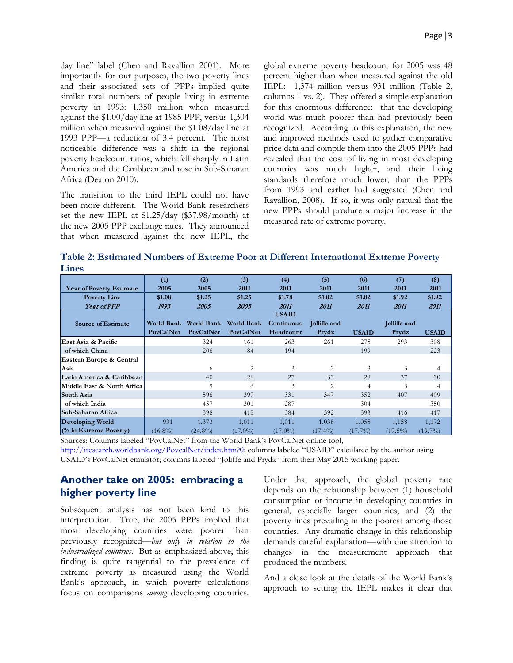day line" label (Chen and Ravallion 2001). More importantly for our purposes, the two poverty lines and their associated sets of PPPs implied quite similar total numbers of people living in extreme poverty in 1993: 1,350 million when measured against the \$1.00/day line at 1985 PPP, versus 1,304 million when measured against the \$1.08/day line at 1993 PPP—a reduction of 3.4 percent. The most noticeable difference was a shift in the regional poverty headcount ratios, which fell sharply in Latin America and the Caribbean and rose in Sub-Saharan Africa (Deaton 2010).

The transition to the third IEPL could not have been more different. The World Bank researchers set the new IEPL at \$1.25/day (\$37.98/month) at the new 2005 PPP exchange rates. They announced that when measured against the new IEPL, the

global extreme poverty headcount for 2005 was 48 percent higher than when measured against the old IEPL: 1,374 million versus 931 million (Table 2, columns 1 vs. 2). They offered a simple explanation for this enormous difference: that the developing world was much poorer than had previously been recognized. According to this explanation, the new and improved methods used to gather comparative price data and compile them into the 2005 PPPs had revealed that the cost of living in most developing countries was much higher, and their living standards therefore much lower, than the PPPs from 1993 and earlier had suggested (Chen and Ravallion, 2008). If so, it was only natural that the new PPPs should produce a major increase in the measured rate of extreme poverty.

**Table 2: Estimated Numbers of Extreme Poor at Different International Extreme Poverty Lines**

|                                 | (1)        | (2)               | (3)            | (4)          | (5)          | (6)          | (7)          | (8)          |
|---------------------------------|------------|-------------------|----------------|--------------|--------------|--------------|--------------|--------------|
| <b>Year of Poverty Estimate</b> | 2005       | 2005              | 2011           | 2011         | 2011         | 2011         | 2011         | 2011         |
| <b>Poverty Line</b>             | \$1.08     | \$1.25            | \$1.25         | \$1.78       | \$1.82       | \$1.82       | \$1.92       | \$1.92       |
| Year of PPP                     | 1993       | <i>2005</i>       | <i>2005</i>    | <i>2011</i>  | <i>2011</i>  | <i>2011</i>  | <i>2011</i>  | 2011         |
|                                 |            |                   |                | <b>USAID</b> |              |              |              |              |
| <b>Source of Estimate</b>       | World Bank | <b>World Bank</b> | World Bank     | Continuous   | Jolliffe and |              | Jolliffe and |              |
|                                 | PovCalNet  | <b>PovCalNet</b>  | PovCalNet      | Headcount    | Prydz        | <b>USAID</b> | Prydz        | <b>USAID</b> |
| East Asia & Pacific             |            | 324               | 161            | 263          | 261          | 275          | 293          | 308          |
| of which China                  |            | 206               | 84             | 194          |              | 199          |              | 223          |
| Eastern Europe & Central        |            |                   |                |              |              |              |              |              |
| Asia                            |            | 6                 | $\overline{c}$ | 3            | 2            | 3            | 3            | 4            |
| Latin America & Caribbean       |            | 40                | 28             | 27           | 33           | 28           | 37           | 30           |
| Middle East & North Africa      |            | $\Omega$          | 6              | 3            | 2            | 4            | 3            | 4            |
| South Asia                      |            | 596               | 399            | 331          | 347          | 352          | 407          | 409          |
| of which India                  |            | 457               | 301            | 287          |              | 304          |              | 350          |
| Sub-Saharan Africa              |            | 398               | 415            | 384          | 392          | 393          | 416          | 417          |
| Developing World                | 931        | 1,373             | 1,011          | 1,011        | 1,038        | 1,055        | 1,158        | 1,172        |
| $($ % in Extreme Poverty)       | $(16.8\%)$ | $(24.8\%)$        | $(17.0\%)$     | $(17.0\%)$   | $(17.4\%)$   | $(17.7\%)$   | $(19.5\%)$   | $(19.7\%)$   |

Sources: Columns labeled "PovCalNet" from the World Bank's PovCalNet online tool,

[http://iresearch.worldbank.org/PovcalNet/index.htm?0;](http://iresearch.worldbank.org/PovcalNet/index.htm?0) columns labeled "USAID" calculated by the author using USAID's PovCalNet emulator; columns labeled "Joliffe and Prydz" from their May 2015 working paper.

### **Another take on 2005: embracing a higher poverty line**

Subsequent analysis has not been kind to this interpretation. True, the 2005 PPPs implied that most developing countries were poorer than previously recognized—*but only in relation to the industrialized countries*. But as emphasized above, this finding is quite tangential to the prevalence of extreme poverty as measured using the World Bank's approach, in which poverty calculations focus on comparisons *among* developing countries.

Under that approach, the global poverty rate depends on the relationship between (1) household consumption or income in developing countries in general, especially larger countries, and (2) the poverty lines prevailing in the poorest among those countries. Any dramatic change in this relationship demands careful explanation—with due attention to changes in the measurement approach that produced the numbers.

And a close look at the details of the World Bank's approach to setting the IEPL makes it clear that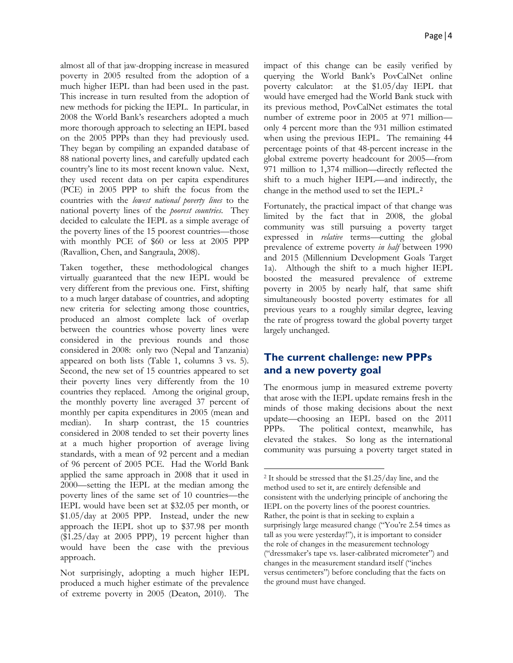almost all of that jaw-dropping increase in measured poverty in 2005 resulted from the adoption of a much higher IEPL than had been used in the past. This increase in turn resulted from the adoption of new methods for picking the IEPL. In particular, in 2008 the World Bank's researchers adopted a much more thorough approach to selecting an IEPL based on the 2005 PPPs than they had previously used. They began by compiling an expanded database of 88 national poverty lines, and carefully updated each country's line to its most recent known value. Next, they used recent data on per capita expenditures (PCE) in 2005 PPP to shift the focus from the countries with the *lowest national poverty lines* to the national poverty lines of the *poorest countries*. They decided to calculate the IEPL as a simple average of the poverty lines of the 15 poorest countries—those with monthly PCE of \$60 or less at 2005 PPP (Ravallion, Chen, and Sangraula, 2008).

Taken together, these methodological changes virtually guaranteed that the new IEPL would be very different from the previous one. First, shifting to a much larger database of countries, and adopting new criteria for selecting among those countries, produced an almost complete lack of overlap between the countries whose poverty lines were considered in the previous rounds and those considered in 2008: only two (Nepal and Tanzania) appeared on both lists (Table 1, columns 3 vs. 5). Second, the new set of 15 countries appeared to set their poverty lines very differently from the 10 countries they replaced. Among the original group, the monthly poverty line averaged 37 percent of monthly per capita expenditures in 2005 (mean and median). In sharp contrast, the 15 countries considered in 2008 tended to set their poverty lines at a much higher proportion of average living standards, with a mean of 92 percent and a median of 96 percent of 2005 PCE. Had the World Bank applied the same approach in 2008 that it used in 2000—setting the IEPL at the median among the poverty lines of the same set of 10 countries—the IEPL would have been set at \$32.05 per month, or \$1.05/day at 2005 PPP. Instead, under the new approach the IEPL shot up to \$37.98 per month (\$1.25/day at 2005 PPP), 19 percent higher than would have been the case with the previous approach.

impact of this change can be easily verified by querying the World Bank's PovCalNet online poverty calculator: at the \$1.05/day IEPL that would have emerged had the World Bank stuck with its previous method, PovCalNet estimates the total number of extreme poor in 2005 at 971 million only 4 percent more than the 931 million estimated when using the previous IEPL. The remaining 44 percentage points of that 48-percent increase in the global extreme poverty headcount for 2005—from 971 million to 1,374 million—directly reflected the shift to a much higher IEPL—and indir[ec](#page-3-0)tly, the change in the method used to set the IEPL.<sup>2</sup>

Fortunately, the practical impact of that change was limited by the fact that in 2008, the global community was still pursuing a poverty target expressed in *relative* terms—cutting the global prevalence of extreme poverty *in half* between 1990 and 2015 (Millennium Development Goals Target 1a). Although the shift to a much higher IEPL boosted the measured prevalence of extreme poverty in 2005 by nearly half, that same shift simultaneously boosted poverty estimates for all previous years to a roughly similar degree, leaving the rate of progress toward the global poverty target largely unchanged.

# **The current challenge: new PPPs and a new poverty goal**

The enormous jump in measured extreme poverty that arose with the IEPL update remains fresh in the minds of those making decisions about the next update—choosing an IEPL based on the 2011 PPPs. The political context, meanwhile, has elevated the stakes. So long as the international community was pursuing a poverty target stated in

 $\overline{\phantom{a}}$ 

<span id="page-3-0"></span>Not surprisingly, adopting a much higher IEPL produced a much higher estimate of the prevalence of extreme poverty in 2005 (Deaton, 2010). The

<sup>2</sup> It should be stressed that the \$1.25/day line, and the method used to set it, are entirely defensible and consistent with the underlying principle of anchoring the IEPL on the poverty lines of the poorest countries. Rather, the point is that in seeking to explain a surprisingly large measured change ("You're 2.54 times as tall as you were yesterday!"), it is important to consider the role of changes in the measurement technology ("dressmaker's tape vs. laser-calibrated micrometer") and changes in the measurement standard itself ("inches versus centimeters") before concluding that the facts on the ground must have changed.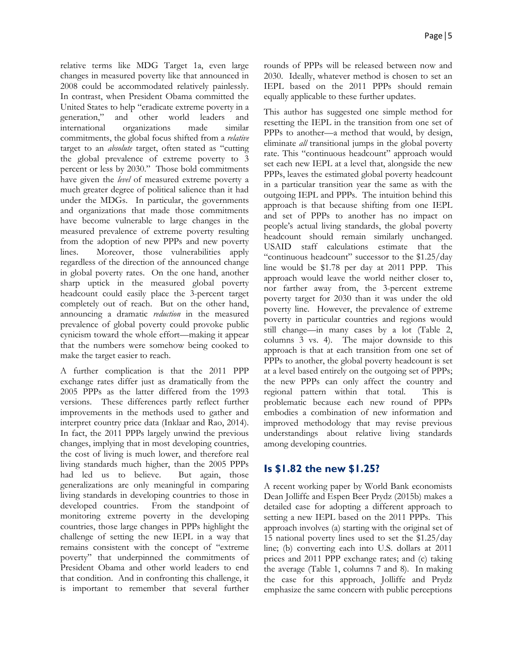relative terms like MDG Target 1a, even large changes in measured poverty like that announced in 2008 could be accommodated relatively painlessly. In contrast, when President Obama committed the United States to help "eradicate extreme poverty in a generation," and other world leaders and international organizations made similar commitments, the global focus shifted from a *relative* target to an *absolute* target, often stated as "cutting the global prevalence of extreme poverty to 3 percent or less by 2030." Those bold commitments have given the *level* of measured extreme poverty a much greater degree of political salience than it had under the MDGs. In particular, the governments and organizations that made those commitments have become vulnerable to large changes in the measured prevalence of extreme poverty resulting from the adoption of new PPPs and new poverty lines. Moreover, those vulnerabilities apply regardless of the direction of the announced change in global poverty rates. On the one hand, another sharp uptick in the measured global poverty headcount could easily place the 3-percent target completely out of reach. But on the other hand, announcing a dramatic *reduction* in the measured prevalence of global poverty could provoke public cynicism toward the whole effort—making it appear that the numbers were somehow being cooked to make the target easier to reach.

A further complication is that the 2011 PPP exchange rates differ just as dramatically from the 2005 PPPs as the latter differed from the 1993 versions. These differences partly reflect further improvements in the methods used to gather and interpret country price data (Inklaar and Rao, 2014). In fact, the 2011 PPPs largely unwind the previous changes, implying that in most developing countries, the cost of living is much lower, and therefore real living standards much higher, than the 2005 PPPs had led us to believe. But again, those generalizations are only meaningful in comparing living standards in developing countries to those in developed countries. From the standpoint of monitoring extreme poverty in the developing countries, those large changes in PPPs highlight the challenge of setting the new IEPL in a way that remains consistent with the concept of "extreme poverty" that underpinned the commitments of President Obama and other world leaders to end that condition. And in confronting this challenge, it is important to remember that several further

rounds of PPPs will be released between now and 2030. Ideally, whatever method is chosen to set an IEPL based on the 2011 PPPs should remain equally applicable to these further updates.

This author has suggested one simple method for resetting the IEPL in the transition from one set of PPPs to another—a method that would, by design, eliminate *all* transitional jumps in the global poverty rate. This "continuous headcount" approach would set each new IEPL at a level that, alongside the new PPPs, leaves the estimated global poverty headcount in a particular transition year the same as with the outgoing IEPL and PPPs. The intuition behind this approach is that because shifting from one IEPL and set of PPPs to another has no impact on people's actual living standards, the global poverty headcount should remain similarly unchanged. USAID staff calculations estimate that the "continuous headcount" successor to the \$1.25/day line would be \$1.78 per day at 2011 PPP. This approach would leave the world neither closer to, nor farther away from, the 3-percent extreme poverty target for 2030 than it was under the old poverty line. However, the prevalence of extreme poverty in particular countries and regions would still change—in many cases by a lot (Table 2, columns 3 vs. 4). The major downside to this approach is that at each transition from one set of PPPs to another, the global poverty headcount is set at a level based entirely on the outgoing set of PPPs; the new PPPs can only affect the country and regional pattern within that total. This is problematic because each new round of PPPs embodies a combination of new information and improved methodology that may revise previous understandings about relative living standards among developing countries.

### **Is \$1.82 the new \$1.25?**

A recent working paper by World Bank economists Dean Jolliffe and Espen Beer Prydz (2015b) makes a detailed case for adopting a different approach to setting a new IEPL based on the 2011 PPPs. This approach involves (a) starting with the original set of 15 national poverty lines used to set the \$1.25/day line; (b) converting each into U.S. dollars at 2011 prices and 2011 PPP exchange rates; and (c) taking the average (Table 1, columns 7 and 8). In making the case for this approach, Jolliffe and Prydz emphasize the same concern with public perceptions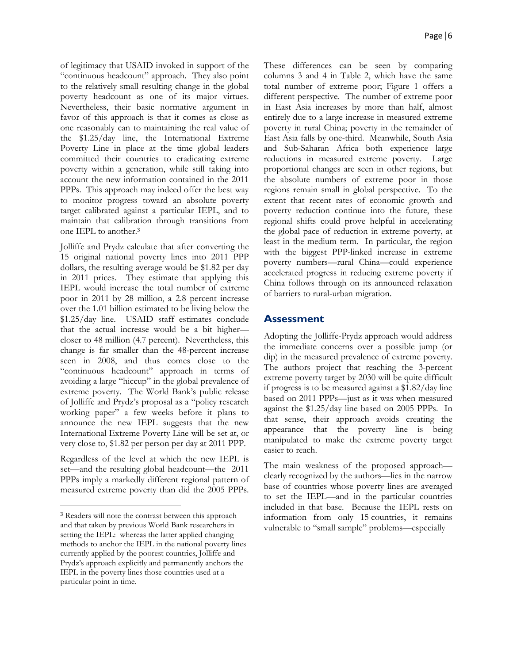of legitimacy that USAID invoked in support of the "continuous headcount" approach. They also point to the relatively small resulting change in the global poverty headcount as one of its major virtues. Nevertheless, their basic normative argument in favor of this approach is that it comes as close as one reasonably can to maintaining the real value of the \$1.25/day line, the International Extreme Poverty Line in place at the time global leaders committed their countries to eradicating extreme poverty within a generation, while still taking into account the new information contained in the 2011 PPPs. This approach may indeed offer the best way to monitor progress toward an absolute poverty target calibrated against a particular IEPL, and to maintain that calibr[ati](#page-5-0)on through transitions from one IEPL to another.<sup>3</sup>

Jolliffe and Prydz calculate that after converting the 15 original national poverty lines into 2011 PPP dollars, the resulting average would be \$1.82 per day in 2011 prices. They estimate that applying this IEPL would increase the total number of extreme poor in 2011 by 28 million, a 2.8 percent increase over the 1.01 billion estimated to be living below the \$1.25/day line. USAID staff estimates conclude that the actual increase would be a bit higher closer to 48 million (4.7 percent). Nevertheless, this change is far smaller than the 48-percent increase seen in 2008, and thus comes close to the "continuous headcount" approach in terms of avoiding a large "hiccup" in the global prevalence of extreme poverty. The World Bank's public release of Jolliffe and Prydz's proposal as a "policy research working paper" a few weeks before it plans to announce the new IEPL suggests that the new International Extreme Poverty Line will be set at, or very close to, \$1.82 per person per day at 2011 PPP.

Regardless of the level at which the new IEPL is set—and the resulting global headcount—the 2011 PPPs imply a markedly different regional pattern of measured extreme poverty than did the 2005 PPPs.

 $\overline{\phantom{a}}$ 

These differences can be seen by comparing columns 3 and 4 in Table 2, which have the same total number of extreme poor; Figure 1 offers a different perspective. The number of extreme poor in East Asia increases by more than half, almost entirely due to a large increase in measured extreme poverty in rural China; poverty in the remainder of East Asia falls by one-third. Meanwhile, South Asia and Sub-Saharan Africa both experience large reductions in measured extreme poverty. Large proportional changes are seen in other regions, but the absolute numbers of extreme poor in those regions remain small in global perspective. To the extent that recent rates of economic growth and poverty reduction continue into the future, these regional shifts could prove helpful in accelerating the global pace of reduction in extreme poverty, at least in the medium term. In particular, the region with the biggest PPP-linked increase in extreme poverty numbers—rural China—could experience accelerated progress in reducing extreme poverty if China follows through on its announced relaxation of barriers to rural-urban migration.

#### **Assessment**

Adopting the Jolliffe-Prydz approach would address the immediate concerns over a possible jump (or dip) in the measured prevalence of extreme poverty. The authors project that reaching the 3-percent extreme poverty target by 2030 will be quite difficult if progress is to be measured against a \$1.82/day line based on 2011 PPPs—just as it was when measured against the \$1.25/day line based on 2005 PPPs. In that sense, their approach avoids creating the appearance that the poverty line is being manipulated to make the extreme poverty target easier to reach.

The main weakness of the proposed approach clearly recognized by the authors—lies in the narrow base of countries whose poverty lines are averaged to set the IEPL—and in the particular countries included in that base. Because the IEPL rests on information from only 15 countries, it remains vulnerable to "small sample" problems—especially

<span id="page-5-0"></span><sup>3</sup> Readers will note the contrast between this approach and that taken by previous World Bank researchers in setting the IEPL: whereas the latter applied changing methods to anchor the IEPL in the national poverty lines currently applied by the poorest countries, Jolliffe and Prydz's approach explicitly and permanently anchors the IEPL in the poverty lines those countries used at a particular point in time.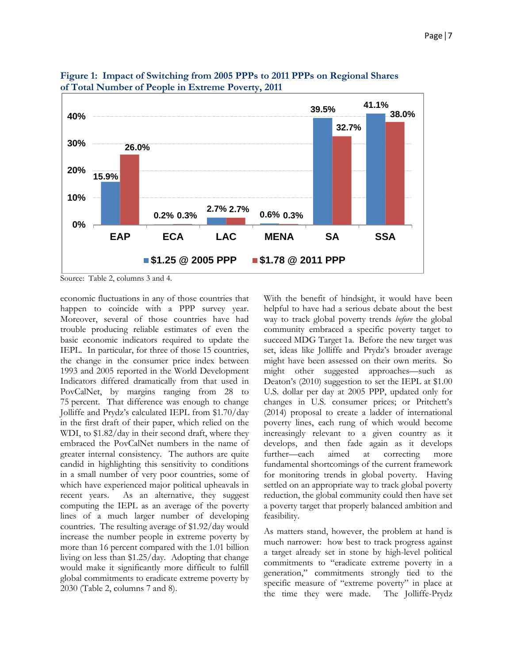

**Figure 1: Impact of Switching from 2005 PPPs to 2011 PPPs on Regional Shares of Total Number of People in Extreme Poverty, 2011**

Source: Table 2, columns 3 and 4.

economic fluctuations in any of those countries that happen to coincide with a PPP survey year. Moreover, several of those countries have had trouble producing reliable estimates of even the basic economic indicators required to update the IEPL. In particular, for three of those 15 countries, the change in the consumer price index between 1993 and 2005 reported in the World Development Indicators differed dramatically from that used in PovCalNet, by margins ranging from 28 to 75 percent. That difference was enough to change Jolliffe and Prydz's calculated IEPL from \$1.70/day in the first draft of their paper, which relied on the WDI, to \$1.82/day in their second draft, where they embraced the PovCalNet numbers in the name of greater internal consistency. The authors are quite candid in highlighting this sensitivity to conditions in a small number of very poor countries, some of which have experienced major political upheavals in recent years. As an alternative, they suggest computing the IEPL as an average of the poverty lines of a much larger number of developing countries. The resulting average of \$1.92/day would increase the number people in extreme poverty by more than 16 percent compared with the 1.01 billion living on less than \$1.25/day. Adopting that change would make it significantly more difficult to fulfill global commitments to eradicate extreme poverty by 2030 (Table 2, columns 7 and 8).

With the benefit of hindsight, it would have been helpful to have had a serious debate about the best way to track global poverty trends *before* the global community embraced a specific poverty target to succeed MDG Target 1a. Before the new target was set, ideas like Jolliffe and Prydz's broader average might have been assessed on their own merits. So might other suggested approaches—such as Deaton's (2010) suggestion to set the IEPL at \$1.00 U.S. dollar per day at 2005 PPP, updated only for changes in U.S. consumer prices; or Pritchett's (2014) proposal to create a ladder of international poverty lines, each rung of which would become increasingly relevant to a given country as it develops, and then fade again as it develops further—each aimed at correcting more fundamental shortcomings of the current framework for monitoring trends in global poverty. Having settled on an appropriate way to track global poverty reduction, the global community could then have set a poverty target that properly balanced ambition and feasibility.

As matters stand, however, the problem at hand is much narrower: how best to track progress against a target already set in stone by high-level political commitments to "eradicate extreme poverty in a generation," commitments strongly tied to the specific measure of "extreme poverty" in place at the time they were made. The Jolliffe-Prydz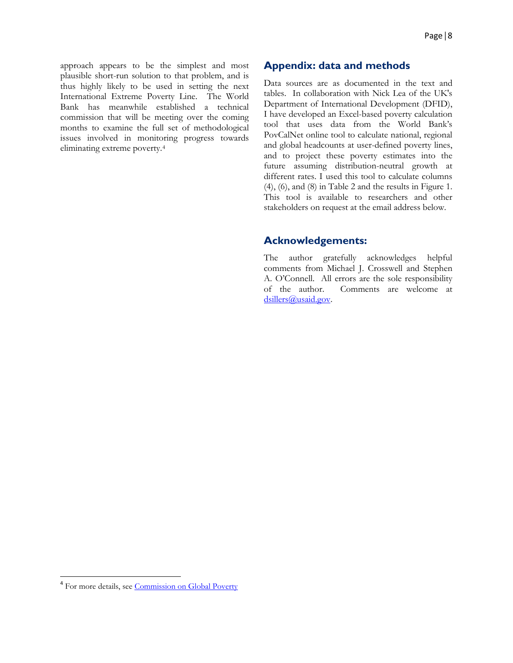approach appears to be the simplest and most plausible short-run solution to that problem, and is thus highly likely to be used in setting the next International Extreme Poverty Line. The World Bank has meanwhile established a technical commission that will be meeting over the coming months to examine the full set of methodological issues involved in monitoring progress towards eliminating extreme poverty.[4](#page-7-0)

#### **Appendix: data and methods**

Data sources are as documented in the text and tables. In collaboration with Nick Lea of the UK's Department of International Development (DFID), I have developed an Excel-based poverty calculation tool that uses data from the World Bank's PovCalNet online tool to calculate national, regional and global headcounts at user-defined poverty lines, and to project these poverty estimates into the future assuming distribution-neutral growth at different rates. I used this tool to calculate columns (4), (6), and (8) in Table 2 and the results in Figure 1. This tool is available to researchers and other stakeholders on request at the email address below.

#### **Acknowledgements:**

The author gratefully acknowledges helpful comments from Michael J. Crosswell and Stephen A. O'Connell. All errors are the sole responsibility of the author. Comments are welcome at dsillers@usaid.gov.

<span id="page-7-0"></span><sup>&</sup>lt;sup>4</sup> For more details, se[e Commission on Global Poverty](http://www.worldbank.org/en/programs/commission-on-global-poverty)